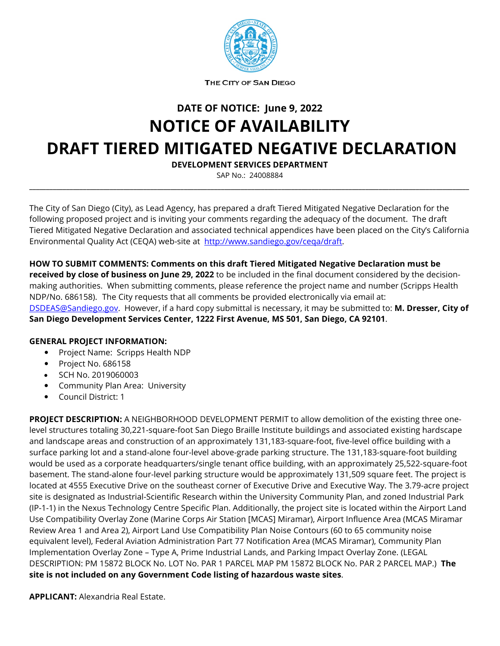

THE CITY OF SAN DIEGO

**DATE OF NOTICE: June 9, 2022**

## **NOTICE OF AVAILABILITY DRAFT TIERED MITIGATED NEGATIVE DECLARATION**

**DEVELOPMENT SERVICES DEPARTMENT**

SAP No.: 24008884 **\_\_\_\_\_\_\_\_\_\_\_\_\_\_\_\_\_\_\_\_\_\_\_\_\_\_\_\_\_\_\_\_\_\_\_\_\_\_\_\_\_\_\_\_\_\_\_\_\_\_\_\_\_\_\_\_\_\_\_\_\_\_\_\_\_\_\_\_\_\_\_\_\_\_\_\_\_\_\_\_\_\_\_\_\_\_\_\_\_\_\_\_\_\_\_\_\_\_\_\_\_\_\_\_\_\_\_\_\_\_\_\_\_\_\_\_\_\_\_\_\_\_\_\_\_\_\_\_\_\_\_**

The City of San Diego (City), as Lead Agency, has prepared a draft Tiered Mitigated Negative Declaration for the following proposed project and is inviting your comments regarding the adequacy of the document. The draft Tiered Mitigated Negative Declaration and associated technical appendices have been placed on the City's California Environmental Quality Act (CEQA) web-site at [http://www.sandiego.gov/ceqa/draft.](http://www.sandiego.gov/ceqa/draft)

**HOW TO SUBMIT COMMENTS: Comments on this draft Tiered Mitigated Negative Declaration must be received by close of business on June 29, 2022** to be included in the final document considered by the decisionmaking authorities. When submitting comments, please reference the project name and number (Scripps Health NDP/No. 686158). The City requests that all comments be provided electronically via email at: [DSDEAS@Sandiego.gov.](mailto:DSDEAS@Sandiego.gov) However, if a hard copy submittal is necessary, it may be submitted to: **M. Dresser, City of San Diego Development Services Center, 1222 First Avenue, MS 501, San Diego, CA 92101**.

## **GENERAL PROJECT INFORMATION:**

- Project Name: Scripps Health NDP
- Project No. 686158
- SCH No. 2019060003
- Community Plan Area: University
- Council District: 1

**PROJECT DESCRIPTION:** A NEIGHBORHOOD DEVELOPMENT PERMIT to allow demolition of the existing three onelevel structures totaling 30,221-square-foot San Diego Braille Institute buildings and associated existing hardscape and landscape areas and construction of an approximately 131,183-square-foot, five-level office building with a surface parking lot and a stand-alone four-level above-grade parking structure. The 131,183-square-foot building would be used as a corporate headquarters/single tenant office building, with an approximately 25,522-square-foot basement. The stand-alone four-level parking structure would be approximately 131,509 square feet. The project is located at 4555 Executive Drive on the southeast corner of Executive Drive and Executive Way. The 3.79-acre project site is designated as Industrial-Scientific Research within the University Community Plan, and zoned Industrial Park (IP-1-1) in the Nexus Technology Centre Specific Plan. Additionally, the project site is located within the Airport Land Use Compatibility Overlay Zone (Marine Corps Air Station [MCAS] Miramar), Airport Influence Area (MCAS Miramar Review Area 1 and Area 2), Airport Land Use Compatibility Plan Noise Contours (60 to 65 community noise equivalent level), Federal Aviation Administration Part 77 Notification Area (MCAS Miramar), Community Plan Implementation Overlay Zone – Type A, Prime Industrial Lands, and Parking Impact Overlay Zone. (LEGAL DESCRIPTION: PM 15872 BLOCK No. LOT No. PAR 1 PARCEL MAP PM 15872 BLOCK No. PAR 2 PARCEL MAP.) **The site is not included on any Government Code listing of hazardous waste sites**.

**APPLICANT:** Alexandria Real Estate.